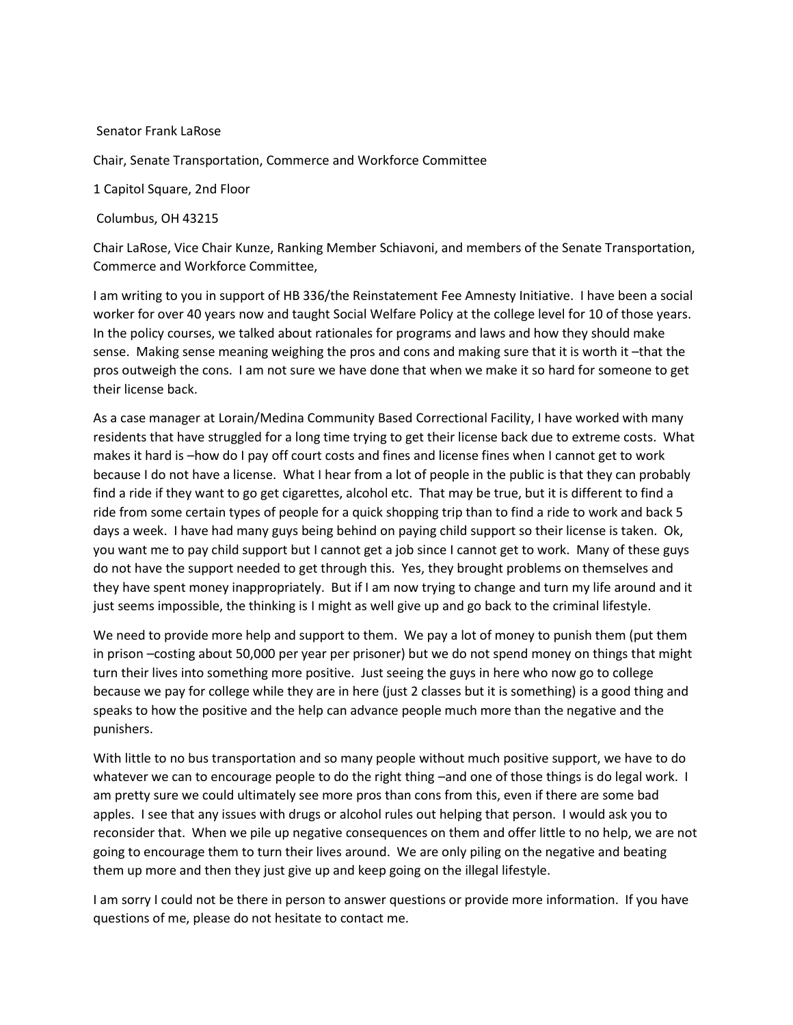## Senator Frank LaRose

Chair, Senate Transportation, Commerce and Workforce Committee

1 Capitol Square, 2nd Floor

Columbus, OH 43215

Chair LaRose, Vice Chair Kunze, Ranking Member Schiavoni, and members of the Senate Transportation, Commerce and Workforce Committee,

I am writing to you in support of HB 336/the Reinstatement Fee Amnesty Initiative. I have been a social worker for over 40 years now and taught Social Welfare Policy at the college level for 10 of those years. In the policy courses, we talked about rationales for programs and laws and how they should make sense. Making sense meaning weighing the pros and cons and making sure that it is worth it –that the pros outweigh the cons. I am not sure we have done that when we make it so hard for someone to get their license back.

As a case manager at Lorain/Medina Community Based Correctional Facility, I have worked with many residents that have struggled for a long time trying to get their license back due to extreme costs. What makes it hard is –how do I pay off court costs and fines and license fines when I cannot get to work because I do not have a license. What I hear from a lot of people in the public is that they can probably find a ride if they want to go get cigarettes, alcohol etc. That may be true, but it is different to find a ride from some certain types of people for a quick shopping trip than to find a ride to work and back 5 days a week. I have had many guys being behind on paying child support so their license is taken. Ok, you want me to pay child support but I cannot get a job since I cannot get to work. Many of these guys do not have the support needed to get through this. Yes, they brought problems on themselves and they have spent money inappropriately. But if I am now trying to change and turn my life around and it just seems impossible, the thinking is I might as well give up and go back to the criminal lifestyle.

We need to provide more help and support to them. We pay a lot of money to punish them (put them in prison –costing about 50,000 per year per prisoner) but we do not spend money on things that might turn their lives into something more positive. Just seeing the guys in here who now go to college because we pay for college while they are in here (just 2 classes but it is something) is a good thing and speaks to how the positive and the help can advance people much more than the negative and the punishers.

With little to no bus transportation and so many people without much positive support, we have to do whatever we can to encourage people to do the right thing –and one of those things is do legal work. I am pretty sure we could ultimately see more pros than cons from this, even if there are some bad apples. I see that any issues with drugs or alcohol rules out helping that person. I would ask you to reconsider that. When we pile up negative consequences on them and offer little to no help, we are not going to encourage them to turn their lives around. We are only piling on the negative and beating them up more and then they just give up and keep going on the illegal lifestyle.

I am sorry I could not be there in person to answer questions or provide more information. If you have questions of me, please do not hesitate to contact me.